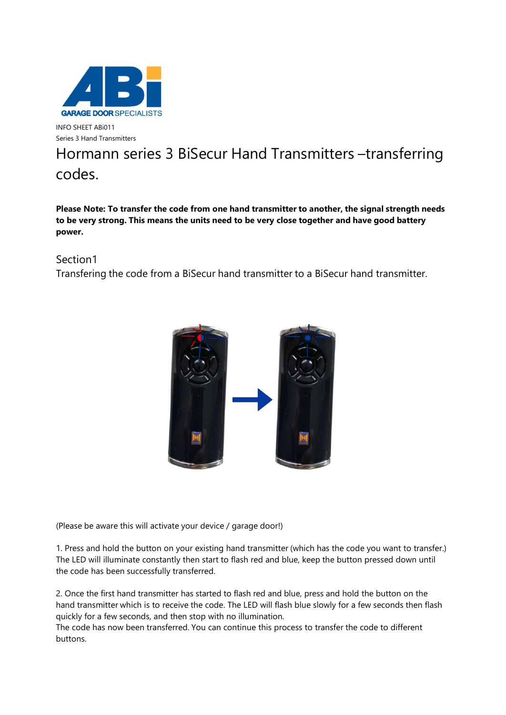

INFO SHEET ABi011 Series 3 Hand Transmitters

## Hormann series 3 BiSecur Hand Transmitters –transferring codes.

**Please Note: To transfer the code from one hand transmitter to another, the signal strength needs to be very strong. This means the units need to be very close together and have good battery power.**

## Section1

Transfering the code from a BiSecur hand transmitter to a BiSecur hand transmitter.



(Please be aware this will activate your device / garage door!)

1. Press and hold the button on your existing hand transmitter (which has the code you want to transfer.) The LED will illuminate constantly then start to flash red and blue, keep the button pressed down until the code has been successfully transferred.

2. Once the first hand transmitter has started to flash red and blue, press and hold the button on the hand transmitter which is to receive the code. The LED will flash blue slowly for a few seconds then flash quickly for a few seconds, and then stop with no illumination.

The code has now been transferred. You can continue this process to transfer the code to different buttons.